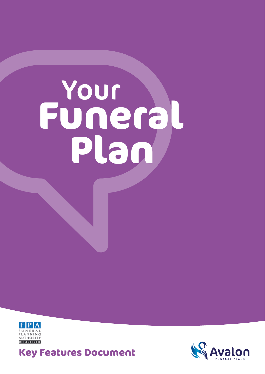# **Funeral** Your **Plan**



**Key Features Document** <sup>1</sup>

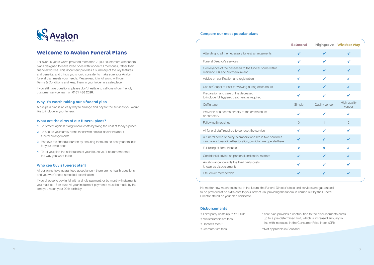

# **Welcome to Avalon Funeral Plans**

For over 25 years we've provided more than 70,000 customers with funeral plans designed to leave loved ones with wonderful memories, rather than financial worries. This document provides a summary of the key features and benefits, and things you should consider to make sure your Avalon funeral plan meets your needs. Please read it in full along with our Terms & Conditions and keep them in your folder in a safe place.

If you still have questions, please don't hesitate to call one of our friendly customer service team on 0161 486 2020.

- 1 To protect against rising funeral costs by fixing the cost at today's prices
- 2 To ensure your family aren't faced with difficult decisions about funeral arrangements
- 3 Remove the financial burden by ensuring there are no costly funeral bills for your loved ones
- 4 To let you plan the celebration of your life, so you'll be remembered the way you want to be

#### Why it's worth taking out a funeral plan

A pre-paid plan is an easy way to arrange and pay for the services you would like to include in your funeral.

#### What are the aims of our funeral plans?

#### Who can buy a funeral plan?

All our plans have guaranteed acceptance – there are no health questions and you won't need a medical examination.

If you choose to pay in full with a single payment, or by monthly instalments, you must be 18 or over. All your instalment payments must be made by the time you reach your 90th birthday.

#### Compare our most popular plans

- Third party costs up to £1,000\*
- Ministers/officiant fees
- Doctor's fees\*\*
- Crematorium fees
- 
- 

#### Funeral Director's services

|                                                                                                                                | <b>Balmoral</b>           |                | <b>Highgrove Windsor Way</b> |
|--------------------------------------------------------------------------------------------------------------------------------|---------------------------|----------------|------------------------------|
| Attending to all the necessary funeral arrangements                                                                            | ✔                         |                |                              |
| Funeral Director's services                                                                                                    |                           |                |                              |
| Conveyance of the deceased to the funeral home within<br>mainland UK and Northern Ireland                                      |                           |                |                              |
| Advice on certification and registration                                                                                       | ✔                         |                |                              |
| Use of Chapel of Rest for viewing during office hours                                                                          | X                         |                |                              |
| Preparation and care of the deceased<br>to include full hygienic treatment as required                                         | ✔                         |                |                              |
| Coffin type                                                                                                                    | Simple                    | Quality veneer | High quality<br>veneer       |
| Provision of a hearse directly to the crematorium<br>or cemetery                                                               | ✔                         |                |                              |
| Following limousines                                                                                                           | $\Omega$                  | 1              | $\overline{2}$               |
| All funeral staff required to conduct the service                                                                              | ✔                         |                |                              |
| A funeral home or away. Members who live in two countries<br>can have a funeral in either location, providing we operate there |                           |                |                              |
| Full listing of floral tributes                                                                                                | $\boldsymbol{\mathsf{x}}$ | x              |                              |
| Confidential advice on personal and social matters                                                                             | ✔                         | ✔              |                              |
| An allowance towards the third party costs,<br>known as disbursements                                                          | ✔                         |                |                              |
| LifeLocker membership                                                                                                          | ✔                         |                |                              |
|                                                                                                                                |                           |                |                              |

#### Following limousines

No matter how much costs rise in the future, the Funeral Director's fees and services are guaranteed to be provided at no extra cost to your next of kin, providing the funeral is carried out by the Funeral Director stated on your plan certificate.

#### **Disbursements**

\* Your plan provides a contribution to the disbursements costs up to a pre-determined limit, which is increased annually in line with increases in the Consumer Price Index (CPI)

\*\*Not applicable in Scotland.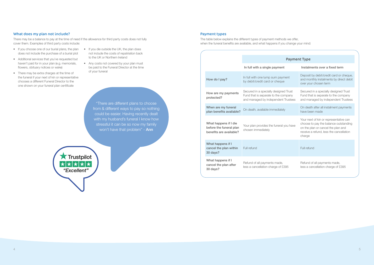## What does my plan not include?

There may be a balance to pay at the time of need if the allowance for third party costs does not fully cover them. Examples of third party costs include:

- If you choose one of our burial plans, the plan does not include the purchase of a burial plot
- Additional services that you've requested but haven't paid for in your plan (e.g. memorials, flowers, obituary notices or wake)
- There may be extra charges at the time of the funeral if your next of kin or representative chooses a different Funeral Director to the one shown on your funeral plan certificate
- If you die outside the UK, the plan does not include the costs of repatriation back to the UK or Northern Ireland
- Any costs not covered by your plan must be paid to the Funeral Director at the time of your funeral

"There are different plans to choose from & different ways to pay so nothing could be easier. Having recently dealt with my husband's funeral I know how stressful it can be so now my family won't have that problem" - **Ann** 

**X** Trustpilot ★★★★ "Excellent"

|                                                                             | <b>Payment Type</b>                                                                                                  |                                                                                                                                                                            |  |
|-----------------------------------------------------------------------------|----------------------------------------------------------------------------------------------------------------------|----------------------------------------------------------------------------------------------------------------------------------------------------------------------------|--|
|                                                                             | In full with a single payment                                                                                        | Instalments over a fixed term                                                                                                                                              |  |
| How do I pay?                                                               | In full with one lump sum payment<br>by debit/credit card or cheque                                                  | Deposit by debit/credit card or cheque,<br>and monthly instalments by direct debit<br>over your chosen term                                                                |  |
| How are my payments<br>protected?                                           | Secured in a specially designed Trust<br>Fund that is separate to the company<br>and managed by independent Trustees | Secured in a specially designed Trust<br>Fund that is separate to the company<br>and managed by independent Trustees                                                       |  |
| When are my funeral<br>plan benefits available?                             | On death, available immediately                                                                                      | On death after all instalment payments<br>have been made                                                                                                                   |  |
| What happens if I die<br>before the funeral plan<br>benefits are available? | Your plan provides the funeral you have<br>chosen immediately                                                        | Your next of kin or representative can<br>choose to pay the balance outstanding<br>on the plan or cancel the plan and<br>receive a refund, less the cancellation<br>charge |  |
| What happens if I<br>cancel the plan within<br>30 days?                     | Full refund                                                                                                          | Full refund                                                                                                                                                                |  |
| What happens if I<br>cancel the plan after<br>30 days?                      | Refund of all payments made,<br>less a cancellation charge of £395                                                   | Refund of all payments made,<br>less a cancellation charge of £395                                                                                                         |  |

#### Payment types

The table below explains the different types of payment methods we offer, when the funeral benefits are available, and what happens if you change your mind: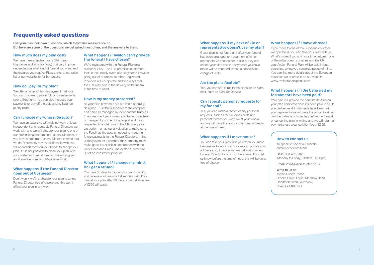# **Frequently asked questions**

Everyone has their own questions, which they'd like reassurance on. But here are some of the questions we get asked most often, and the answers to them.

#### How much does my plan cost?

We have three standard plans (Balmoral, Highgrove and Windsor Way) that vary in price depending on what kind of funeral you want and the features you require. Please refer to our price list or our website for further details.

We offer a range of flexible payment methods. You can choose to pay in full, or by instalments over a fixed term. You can also increase your payments or pay off the outstanding balance at any point.

#### How do I pay for my plan?

#### Can I choose my Funeral Director?

We're registered with the Funeral Planning Authority (FPA). The FPA promises customers that, in the unlikely event of a Registered Provider going out of business, all other Registered Providers will co-operate and find ways that the FPA may help in the delivery of the funeral at the time of need.

We have an extensive UK-wide network of local, independent and reputable Funeral Directors we work with and we will allocate your plan to one of our professional and trusted Funeral Directors. If you have a preferred Funeral Director in mind that we don't currently have a relationship with, we will approach them on your behalf to accept your plan. If it is not possible to place your plan with your preferred Funeral Director, we will suggest an alternative from our UK-wide network.

#### What happens if the Funeral Director goes out of business?

Don't worry, we'll re-allocate your plan to a new Funeral Director free of charge and this won't affect your plan in any way.

#### What happens if Avalon can't provide the funeral I have chosen?

If your plan is not found until after your funeral has been arranged, or if your next of kin or representative choose not to use it, they can cancel your plan and the payments you have made will be refunded, minus a cancellation charge of £395.

#### How is my money protected?

All your plan payments are put into a speciallydesigned Trust that's separate to the company and carefully managed by independent Trustees. The investment performance of the funds in Trust is managed by some of the largest and most respected financial firms in the UK. Every year, we perform an actuarial valuation to make sure the Fund has the assets needed to meet the future payments to the Funeral Directors. In the unlikely event of a shortfall, the Company must make good the deficit in accordance with the Trust Deed and Rules. The Avalon funeral plan is not an investment product.

#### What happens if I change my mind, do I get a refund?

You have 30 days to cancel your plan in writing and receive a full refund of all monies paid. If you cancel your plan after 30 days, a cancellation fee of £395 will apply.

## What happens if my next of kin or representative doesn't use my plan?

#### Are the plans flexible?

Yes, you can add items to the plans for an extra cost, such as a church service.

#### Can I specify personal requests for my funeral?

Yes, you can make a record of any personal requests, such as music, dress code and personal themes you may like at your funeral, and we will pass these on to the Funeral Director at the time of need.

#### What happens if I move house?

You can take your plan with you when you move. Remember to let us know so we can update your address and, if necessary, we will assign a new Funeral Director to conduct the funeral. If you let us know before the time of need, this will be done free of charge.

## What happens if I move abroad?

If you move to one of the European countries we operate in, you can take your plan with you. What's more, if you split your time between one of these European countries and the UK, your Avalon Funeral Plan will be valid in both countries, giving you complete peace of mind. You can find more details about the European countries we operate in on our website www.avalonfuneralplans.com

## What happens if I die before all my instalments have been paid?

Your plan will provide the benefits detailed on your plan certificate once it's been paid in full. If you die before all instalments have been paid, your representative will have the option to either pay the balance outstanding before the funeral, or cancel the plan in writing and we will return all payments less a cancellation fee of £395.

## How to contact us

To speak to one of our friendly customer service team

Call: 0161 486 2020 (Monday to Friday, 9:00am – 5:30pm)

Email: info@avalon-trustee.co.uk

#### Write to us at:

Avalon Funeral Plans Brooke Court, Lower Meadow Road Handforth Dean, Wilmslow, Cheshire SK9 3ND